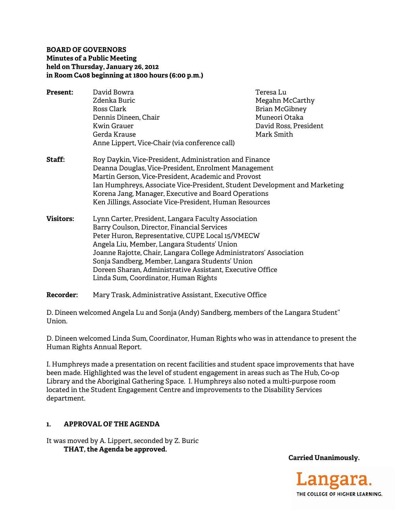## **BOARD OF GOVERNORS Minutes of a Public Meeting held on Thursday, January 26, 2012 in Room C408 beginning at 1800 hours (6:00 p.m.)**

- **Present:** David Bowra **Teresa Lu** Zdenka Buric **Megahn McCarthy** Ross Clark **Brian McGibney** Dennis Dineen, Chair National Muneori Otaka Kwin Grauer David Ross, President Gerda Krause Mark Smith Anne Lippert, Vice-Chair (via conference call)
- **Staff:** Roy Daykin, Vice-President, Administration and Finance Deanna Douglas, Vice-President, Enrolment Management Martin Gerson, Vice-President, Academic and Provost Ian Humphreys, Associate Vice-President, Student Development and Marketing Korena Jang, Manager, Executive and Board Operations Ken Jillings, Associate Vice-President, Human Resources
- **Visitors:** Lynn Carter, President, Langara Faculty Association Barry Coulson, Director, Financial Services Peter Huron, Representative, CUPE Local 15/VMECW Angela Liu, Member, Langara Students' Union Joanne Rajotte, Chair, Langara College Administrators' Association Sonja Sandberg, Member, Langara Students' Union Doreen Sharan, Administrative Assistant, Executive Office Linda Sum, Coordinator, Human Rights
- **Recorder:** Mary Trask, Administrative Assistant, Executive Office

D. Dineen welcomed Angela Lu and Sonja (Andy) Sandberg, members of the Langara Student'' Union.

D. Dineen welcomed Linda Sum, Coordinator, Human Rights who was in attendance to present the Human Rights Annual Report.

I. Humphreys made a presentation on recent facilities and student space improvements that have been made. Highlighted was the level of student engagement in areas such as The Hub, Co-op Library and the Aboriginal Gathering Space. I. Humphreys also noted a multi-purpose room located in the Student Engagement Centre and improvements to the Disability Services department.

# **1. APPROVAL OF THE AGENDA**

It was moved by A. Lippert, seconded by Z. Buric  **THAT, the Agenda be approved.** 

**Carried Unanimously.** 

Langara THE COLLEGE OF HIGHER LEARNING.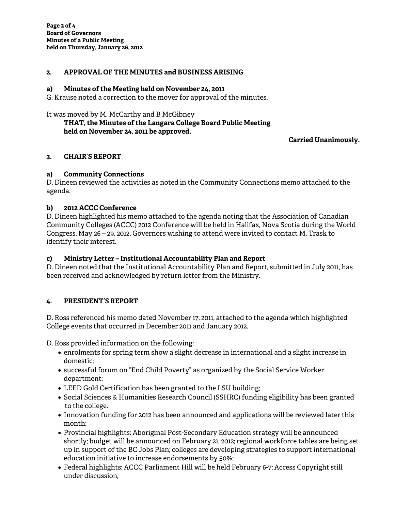## **2. APPROVAL OF THE MINUTES and BUSINESS ARISING**

### **a) Minutes of the Meeting held on November 24, 2011**

G. Krause noted a correction to the mover for approval of the minutes.

It was moved by M. McCarthy and B McGibney

# **THAT, the Minutes of the Langara College Board Public Meeting held on November 24, 2011 be approved.**

# **Carried Unanimously.**

## **3. CHAIR'S REPORT**

# **a) Community Connections**

D. Dineen reviewed the activities as noted in the Community Connections memo attached to the agenda.

# **b) 2012 ACCC Conference**

D. Dineen highlighted his memo attached to the agenda noting that the Association of Canadian Community Colleges (ACCC) 2012 Conference will be held in Halifax, Nova Scotia during the World Congress, May 26 – 29, 2012. Governors wishing to attend were invited to contact M. Trask to identify their interest.

# **c) Ministry Letter – Institutional Accountability Plan and Report**

D. Dineen noted that the Institutional Accountability Plan and Report, submitted in July 2011, has been received and acknowledged by return letter from the Ministry.

# **4. PRESIDENT'S REPORT**

D. Ross referenced his memo dated November 17, 2011, attached to the agenda which highlighted College events that occurred in December 2011 and January 2012.

D. Ross provided information on the following:

- enrolments for spring term show a slight decrease in international and a slight increase in domestic;
- successful forum on "End Child Poverty" as organized by the Social Service Worker department;
- LEED Gold Certification has been granted to the LSU building;
- Social Sciences & Humanities Research Council (SSHRC) funding eligibility has been granted to the college.
- Innovation funding for 2012 has been announced and applications will be reviewed later this month;
- Provincial highlights: Aboriginal Post-Secondary Education strategy will be announced shortly; budget will be announced on February 21, 2012; regional workforce tables are being set up in support of the BC Jobs Plan; colleges are developing strategies to support international education initiative to increase endorsements by 50%;
- Federal highlights: ACCC Parliament Hill will be held February 6-7; Access Copyright still under discussion;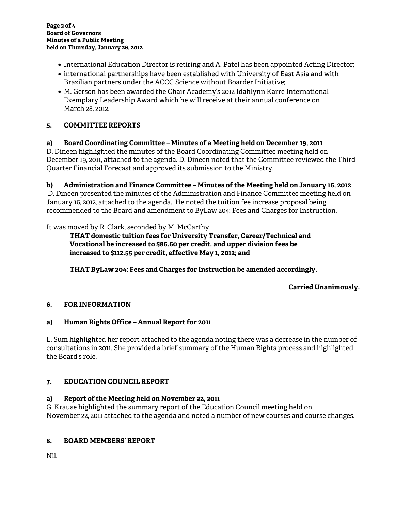- International Education Director is retiring and A. Patel has been appointed Acting Director;
- international partnerships have been established with University of East Asia and with Brazilian partners under the ACCC Science without Boarder Initiative;
- M. Gerson has been awarded the Chair Academy's 2012 Idahlynn Karre International Exemplary Leadership Award which he will receive at their annual conference on March 28, 2012.

## **5. COMMITTEE REPORTS**

## **a) Board Coordinating Committee – Minutes of a Meeting held on December 19, 2011**

D. Dineen highlighted the minutes of the Board Coordinating Committee meeting held on December 19, 2011, attached to the agenda. D. Dineen noted that the Committee reviewed the Third Quarter Financial Forecast and approved its submission to the Ministry.

### **b) Administration and Finance Committee – Minutes of the Meeting held on January 16, 2012**

D. Dineen presented the minutes of the Administration and Finance Committee meeting held on January 16, 2012, attached to the agenda. He noted the tuition fee increase proposal being recommended to the Board and amendment to ByLaw 204: Fees and Charges for Instruction.

It was moved by R. Clark, seconded by M. McCarthy

**THAT domestic tuition fees for University Transfer, Career/Technical and Vocational be increased to \$86.60 per credit, and upper division fees be increased to \$112.55 per credit, effective May 1, 2012; and**

 **THAT ByLaw 204: Fees and Charges for Instruction be amended accordingly.** 

**Carried Unanimously.** 

### **6. FOR INFORMATION**

### **a) Human Rights Office – Annual Report for 2011**

L. Sum highlighted her report attached to the agenda noting there was a decrease in the number of consultations in 2011. She provided a brief summary of the Human Rights process and highlighted the Board's role.

### **7. EDUCATION COUNCIL REPORT**

### **a) Report of the Meeting held on November 22, 2011**

G. Krause highlighted the summary report of the Education Council meeting held on November 22, 2011 attached to the agenda and noted a number of new courses and course changes.

### **8. BOARD MEMBERS' REPORT**

Nil.